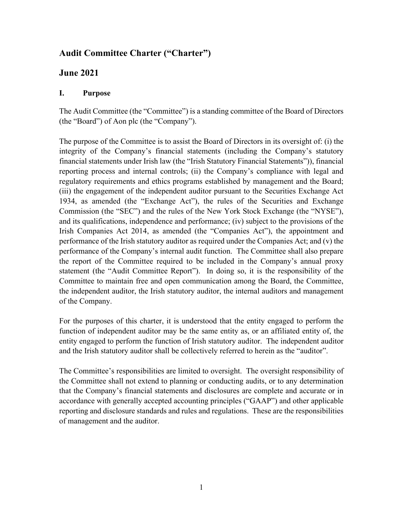# **Audit Committee Charter ("Charter")**

## **June 2021**

## **I. Purpose**

The Audit Committee (the "Committee") is a standing committee of the Board of Directors (the "Board") of Aon plc (the "Company").

The purpose of the Committee is to assist the Board of Directors in its oversight of: (i) the integrity of the Company's financial statements (including the Company's statutory financial statements under Irish law (the "Irish Statutory Financial Statements")), financial reporting process and internal controls; (ii) the Company's compliance with legal and regulatory requirements and ethics programs established by management and the Board; (iii) the engagement of the independent auditor pursuant to the Securities Exchange Act 1934, as amended (the "Exchange Act"), the rules of the Securities and Exchange Commission (the "SEC") and the rules of the New York Stock Exchange (the "NYSE"), and its qualifications, independence and performance; (iv) subject to the provisions of the Irish Companies Act 2014, as amended (the "Companies Act"), the appointment and performance of the Irish statutory auditor as required under the Companies Act; and (v) the performance of the Company's internal audit function. The Committee shall also prepare the report of the Committee required to be included in the Company's annual proxy statement (the "Audit Committee Report"). In doing so, it is the responsibility of the Committee to maintain free and open communication among the Board, the Committee, the independent auditor, the Irish statutory auditor, the internal auditors and management of the Company.

For the purposes of this charter, it is understood that the entity engaged to perform the function of independent auditor may be the same entity as, or an affiliated entity of, the entity engaged to perform the function of Irish statutory auditor. The independent auditor and the Irish statutory auditor shall be collectively referred to herein as the "auditor".

The Committee's responsibilities are limited to oversight. The oversight responsibility of the Committee shall not extend to planning or conducting audits, or to any determination that the Company's financial statements and disclosures are complete and accurate or in accordance with generally accepted accounting principles ("GAAP") and other applicable reporting and disclosure standards and rules and regulations. These are the responsibilities of management and the auditor.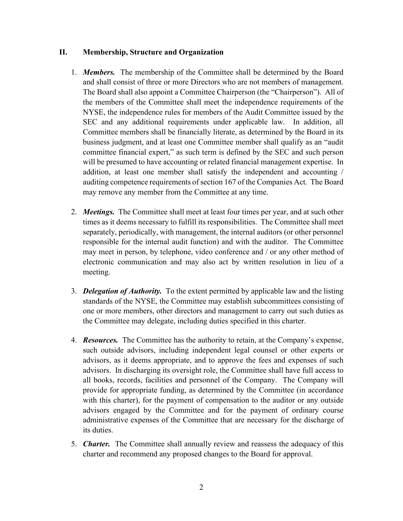#### **II. Membership, Structure and Organization**

- 1. *Members.*The membership of the Committee shall be determined by the Board and shall consist of three or more Directors who are not members of management. The Board shall also appoint a Committee Chairperson (the "Chairperson"). All of the members of the Committee shall meet the independence requirements of the NYSE, the independence rules for members of the Audit Committee issued by the SEC and any additional requirements under applicable law. In addition, all Committee members shall be financially literate, as determined by the Board in its business judgment, and at least one Committee member shall qualify as an "audit committee financial expert," as such term is defined by the SEC and such person will be presumed to have accounting or related financial management expertise. In addition, at least one member shall satisfy the independent and accounting / auditing competence requirements of section 167 of the Companies Act. The Board may remove any member from the Committee at any time.
- 2. *Meetings.*The Committee shall meet at least four times per year, and at such other times as it deems necessary to fulfill its responsibilities. The Committee shall meet separately, periodically, with management, the internal auditors (or other personnel responsible for the internal audit function) and with the auditor. The Committee may meet in person, by telephone, video conference and / or any other method of electronic communication and may also act by written resolution in lieu of a meeting.
- 3. *Delegation of Authority.* To the extent permitted by applicable law and the listing standards of the NYSE, the Committee may establish subcommittees consisting of one or more members, other directors and management to carry out such duties as the Committee may delegate, including duties specified in this charter.
- 4. *Resources.* The Committee has the authority to retain, at the Company's expense, such outside advisors, including independent legal counsel or other experts or advisors, as it deems appropriate, and to approve the fees and expenses of such advisors. In discharging its oversight role, the Committee shall have full access to all books, records, facilities and personnel of the Company. The Company will provide for appropriate funding, as determined by the Committee (in accordance with this charter), for the payment of compensation to the auditor or any outside advisors engaged by the Committee and for the payment of ordinary course administrative expenses of the Committee that are necessary for the discharge of its duties.
- 5. *Charter.* The Committee shall annually review and reassess the adequacy of this charter and recommend any proposed changes to the Board for approval.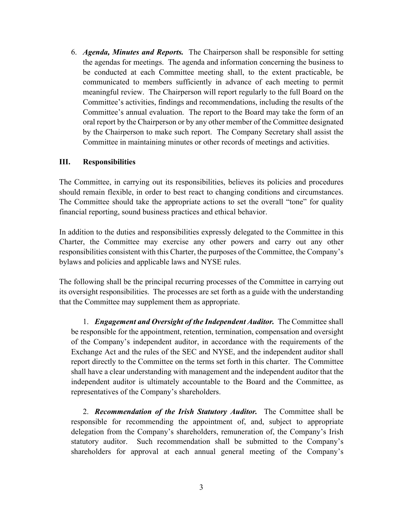6. *Agenda, Minutes and Reports.* The Chairperson shall be responsible for setting the agendas for meetings. The agenda and information concerning the business to be conducted at each Committee meeting shall, to the extent practicable, be communicated to members sufficiently in advance of each meeting to permit meaningful review. The Chairperson will report regularly to the full Board on the Committee's activities, findings and recommendations, including the results of the Committee's annual evaluation. The report to the Board may take the form of an oral report by the Chairperson or by any other member of the Committee designated by the Chairperson to make such report. The Company Secretary shall assist the Committee in maintaining minutes or other records of meetings and activities.

### **III. Responsibilities**

The Committee, in carrying out its responsibilities, believes its policies and procedures should remain flexible, in order to best react to changing conditions and circumstances. The Committee should take the appropriate actions to set the overall "tone" for quality financial reporting, sound business practices and ethical behavior.

In addition to the duties and responsibilities expressly delegated to the Committee in this Charter, the Committee may exercise any other powers and carry out any other responsibilities consistent with this Charter, the purposes of the Committee, the Company's bylaws and policies and applicable laws and NYSE rules.

The following shall be the principal recurring processes of the Committee in carrying out its oversight responsibilities. The processes are set forth as a guide with the understanding that the Committee may supplement them as appropriate.

1. *Engagement and Oversight of the Independent Auditor.* The Committee shall be responsible for the appointment, retention, termination, compensation and oversight of the Company's independent auditor, in accordance with the requirements of the Exchange Act and the rules of the SEC and NYSE, and the independent auditor shall report directly to the Committee on the terms set forth in this charter. The Committee shall have a clear understanding with management and the independent auditor that the independent auditor is ultimately accountable to the Board and the Committee, as representatives of the Company's shareholders.

2. *Recommendation of the Irish Statutory Auditor.* The Committee shall be responsible for recommending the appointment of, and, subject to appropriate delegation from the Company's shareholders, remuneration of, the Company's Irish statutory auditor. Such recommendation shall be submitted to the Company's shareholders for approval at each annual general meeting of the Company's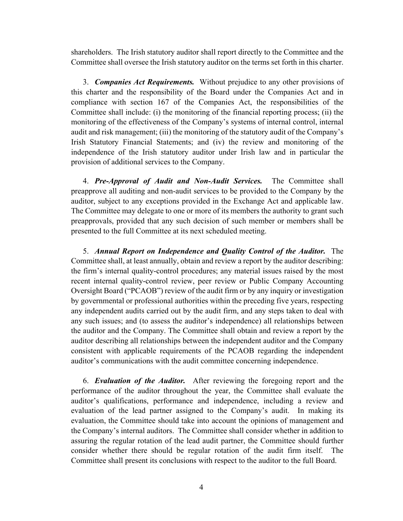shareholders. The Irish statutory auditor shall report directly to the Committee and the Committee shall oversee the Irish statutory auditor on the terms set forth in this charter.

3. *Companies Act Requirements.* Without prejudice to any other provisions of this charter and the responsibility of the Board under the Companies Act and in compliance with section 167 of the Companies Act, the responsibilities of the Committee shall include: (i) the monitoring of the financial reporting process; (ii) the monitoring of the effectiveness of the Company's systems of internal control, internal audit and risk management; (iii) the monitoring of the statutory audit of the Company's Irish Statutory Financial Statements; and (iv) the review and monitoring of the independence of the Irish statutory auditor under Irish law and in particular the provision of additional services to the Company.

4. *Pre-Approval of Audit and Non-Audit Services.* The Committee shall preapprove all auditing and non-audit services to be provided to the Company by the auditor, subject to any exceptions provided in the Exchange Act and applicable law. The Committee may delegate to one or more of its members the authority to grant such preapprovals, provided that any such decision of such member or members shall be presented to the full Committee at its next scheduled meeting.

5. *Annual Report on Independence and Quality Control of the Auditor.* The Committee shall, at least annually, obtain and review a report by the auditor describing: the firm's internal quality-control procedures; any material issues raised by the most recent internal quality-control review, peer review or Public Company Accounting Oversight Board ("PCAOB") review of the audit firm or by any inquiry or investigation by governmental or professional authorities within the preceding five years, respecting any independent audits carried out by the audit firm, and any steps taken to deal with any such issues; and (to assess the auditor's independence) all relationships between the auditor and the Company. The Committee shall obtain and review a report by the auditor describing all relationships between the independent auditor and the Company consistent with applicable requirements of the PCAOB regarding the independent auditor's communications with the audit committee concerning independence.

6. *Evaluation of the Auditor.* After reviewing the foregoing report and the performance of the auditor throughout the year, the Committee shall evaluate the auditor's qualifications, performance and independence, including a review and evaluation of the lead partner assigned to the Company's audit. In making its evaluation, the Committee should take into account the opinions of management and the Company's internal auditors. The Committee shall consider whether in addition to assuring the regular rotation of the lead audit partner, the Committee should further consider whether there should be regular rotation of the audit firm itself. The Committee shall present its conclusions with respect to the auditor to the full Board.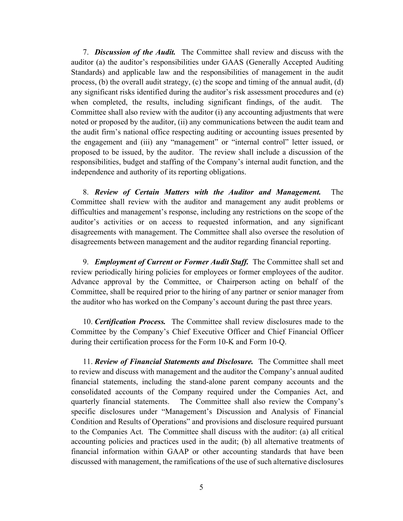7. *Discussion of the Audit.* The Committee shall review and discuss with the auditor (a) the auditor's responsibilities under GAAS (Generally Accepted Auditing Standards) and applicable law and the responsibilities of management in the audit process, (b) the overall audit strategy, (c) the scope and timing of the annual audit, (d) any significant risks identified during the auditor's risk assessment procedures and (e) when completed, the results, including significant findings, of the audit. The Committee shall also review with the auditor (i) any accounting adjustments that were noted or proposed by the auditor, (ii) any communications between the audit team and the audit firm's national office respecting auditing or accounting issues presented by the engagement and (iii) any "management" or "internal control" letter issued, or proposed to be issued, by the auditor. The review shall include a discussion of the responsibilities, budget and staffing of the Company's internal audit function, and the independence and authority of its reporting obligations.

8. *Review of Certain Matters with the Auditor and Management.* The Committee shall review with the auditor and management any audit problems or difficulties and management's response, including any restrictions on the scope of the auditor's activities or on access to requested information, and any significant disagreements with management. The Committee shall also oversee the resolution of disagreements between management and the auditor regarding financial reporting.

9. *Employment of Current or Former Audit Staff.* The Committee shall set and review periodically hiring policies for employees or former employees of the auditor. Advance approval by the Committee, or Chairperson acting on behalf of the Committee, shall be required prior to the hiring of any partner or senior manager from the auditor who has worked on the Company's account during the past three years.

10. *Certification Process.* The Committee shall review disclosures made to the Committee by the Company's Chief Executive Officer and Chief Financial Officer during their certification process for the Form 10-K and Form 10-Q.

11. *Review of Financial Statements and Disclosure.* The Committee shall meet to review and discuss with management and the auditor the Company's annual audited financial statements, including the stand-alone parent company accounts and the consolidated accounts of the Company required under the Companies Act, and quarterly financial statements. The Committee shall also review the Company's specific disclosures under "Management's Discussion and Analysis of Financial Condition and Results of Operations" and provisions and disclosure required pursuant to the Companies Act. The Committee shall discuss with the auditor: (a) all critical accounting policies and practices used in the audit; (b) all alternative treatments of financial information within GAAP or other accounting standards that have been discussed with management, the ramifications of the use of such alternative disclosures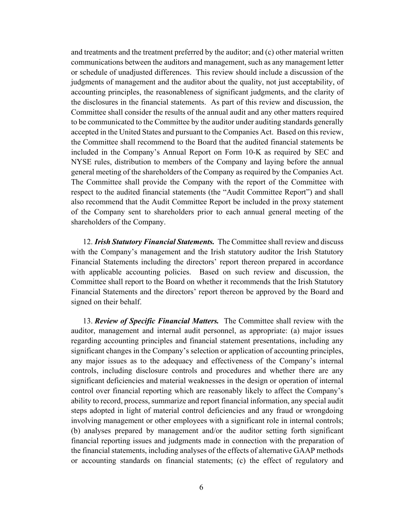and treatments and the treatment preferred by the auditor; and (c) other material written communications between the auditors and management, such as any management letter or schedule of unadjusted differences. This review should include a discussion of the judgments of management and the auditor about the quality, not just acceptability, of accounting principles, the reasonableness of significant judgments, and the clarity of the disclosures in the financial statements. As part of this review and discussion, the Committee shall consider the results of the annual audit and any other matters required to be communicated to the Committee by the auditor under auditing standards generally accepted in the United States and pursuant to the Companies Act. Based on this review, the Committee shall recommend to the Board that the audited financial statements be included in the Company's Annual Report on Form 10-K as required by SEC and NYSE rules, distribution to members of the Company and laying before the annual general meeting of the shareholders of the Company as required by the Companies Act. The Committee shall provide the Company with the report of the Committee with respect to the audited financial statements (the "Audit Committee Report") and shall also recommend that the Audit Committee Report be included in the proxy statement of the Company sent to shareholders prior to each annual general meeting of the shareholders of the Company.

12. *Irish Statutory Financial Statements.* The Committee shall review and discuss with the Company's management and the Irish statutory auditor the Irish Statutory Financial Statements including the directors' report thereon prepared in accordance with applicable accounting policies. Based on such review and discussion, the Committee shall report to the Board on whether it recommends that the Irish Statutory Financial Statements and the directors' report thereon be approved by the Board and signed on their behalf.

13. *Review of Specific Financial Matters.* The Committee shall review with the auditor, management and internal audit personnel, as appropriate: (a) major issues regarding accounting principles and financial statement presentations, including any significant changes in the Company's selection or application of accounting principles, any major issues as to the adequacy and effectiveness of the Company's internal controls, including disclosure controls and procedures and whether there are any significant deficiencies and material weaknesses in the design or operation of internal control over financial reporting which are reasonably likely to affect the Company's ability to record, process, summarize and report financial information, any special audit steps adopted in light of material control deficiencies and any fraud or wrongdoing involving management or other employees with a significant role in internal controls; (b) analyses prepared by management and/or the auditor setting forth significant financial reporting issues and judgments made in connection with the preparation of the financial statements, including analyses of the effects of alternative GAAP methods or accounting standards on financial statements; (c) the effect of regulatory and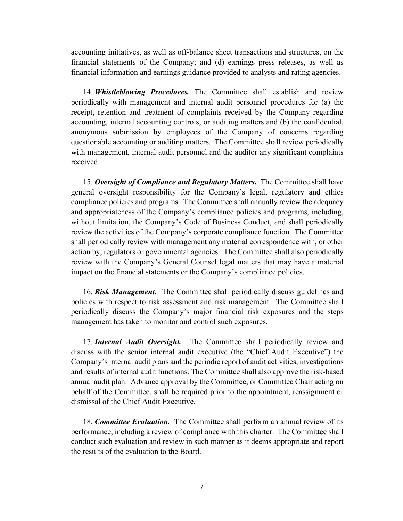accounting initiatives, as well as off-balance sheet transactions and structures, on the financial statements of the Company; and (d) earnings press releases, as well as financial information and earnings guidance provided to analysts and rating agencies.

14. *Whistleblowing Procedures.* The Committee shall establish and review periodically with management and internal audit personnel procedures for (a) the receipt, retention and treatment of complaints received by the Company regarding accounting, internal accounting controls, or auditing matters and (b) the confidential, anonymous submission by employees of the Company of concerns regarding questionable accounting or auditing matters. The Committee shall review periodically with management, internal audit personnel and the auditor any significant complaints received.

15. *Oversight of Compliance and Regulatory Matters.* The Committee shall have general oversight responsibility for the Company's legal, regulatory and ethics compliance policies and programs. The Committee shall annually review the adequacy and appropriateness of the Company's compliance policies and programs, including, without limitation, the Company's Code of Business Conduct, and shall periodically review the activities of the Company's corporate compliance function The Committee shall periodically review with management any material correspondence with, or other action by, regulators or governmental agencies. The Committee shall also periodically review with the Company's General Counsel legal matters that may have a material impact on the financial statements or the Company's compliance policies.

16. *Risk Management.* The Committee shall periodically discuss guidelines and policies with respect to risk assessment and risk management. The Committee shall periodically discuss the Company's major financial risk exposures and the steps management has taken to monitor and control such exposures.

17. *Internal Audit Oversight.* The Committee shall periodically review and discuss with the senior internal audit executive (the "Chief Audit Executive") the Company's internal audit plans and the periodic report of audit activities, investigations and results of internal audit functions. The Committee shall also approve the risk-based annual audit plan. Advance approval by the Committee, or Committee Chair acting on behalf of the Committee, shall be required prior to the appointment, reassignment or dismissal of the Chief Audit Executive.

18. *Committee Evaluation.* The Committee shall perform an annual review of its performance, including a review of compliance with this charter. The Committee shall conduct such evaluation and review in such manner as it deems appropriate and report the results of the evaluation to the Board.